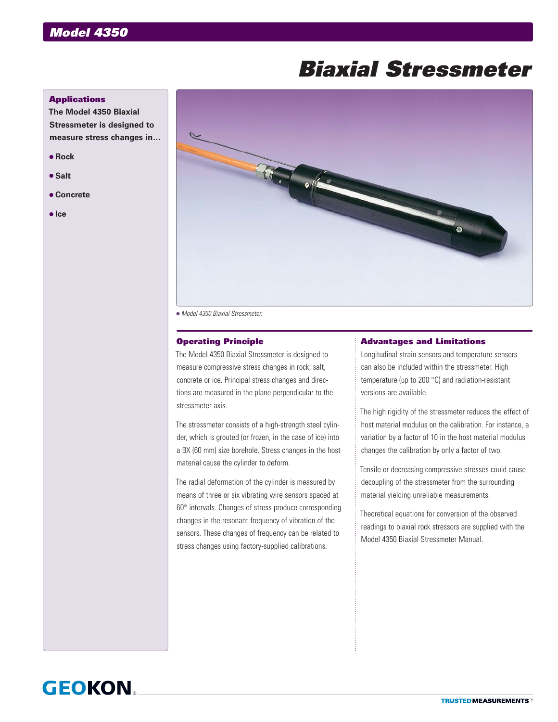# *Biaxial Stressmeter*

## **Applications**

**The Model 4350 Biaxial Stressmeter is designed to measure stress changes in…**

- **Rock**
- **s** Salt
- **Concrete**
- $\bullet$  Ice



*Model 4350 Biaxial Stressmeter.*

### Operating Principle

The Model 4350 Biaxial Stressmeter is designed to measure compressive stress changes in rock, salt, concrete or ice. Principal stress changes and directions are measured in the plane perpendicular to the stressmeter axis.

The stressmeter consists of a high-strength steel cylinder, which is grouted (or frozen, in the case of ice) into a BX (60 mm) size borehole. Stress changes in the host material cause the cylinder to deform.

The radial deformation of the cylinder is measured by means of three or six vibrating wire sensors spaced at 60° intervals. Changes of stress produce corresponding changes in the resonant frequency of vibration of the sensors. These changes of frequency can be related to stress changes using factory-supplied calibrations.

#### Advantages and Limitations

Longitudinal strain sensors and temperature sensors can also be included within the stressmeter. High temperature (up to 200 °C) and radiation-resistant versions are available.

The high rigidity of the stressmeter reduces the effect of host material modulus on the calibration. For instance, a variation by a factor of 10 in the host material modulus changes the calibration by only a factor of two.

Tensile or decreasing compressive stresses could cause decoupling of the stressmeter from the surrounding material yielding unreliable measurements.

Theoretical equations for conversion of the observed readings to biaxial rock stressors are supplied with the Model 4350 Biaxial Stressmeter Manual.

## **GEOKON**